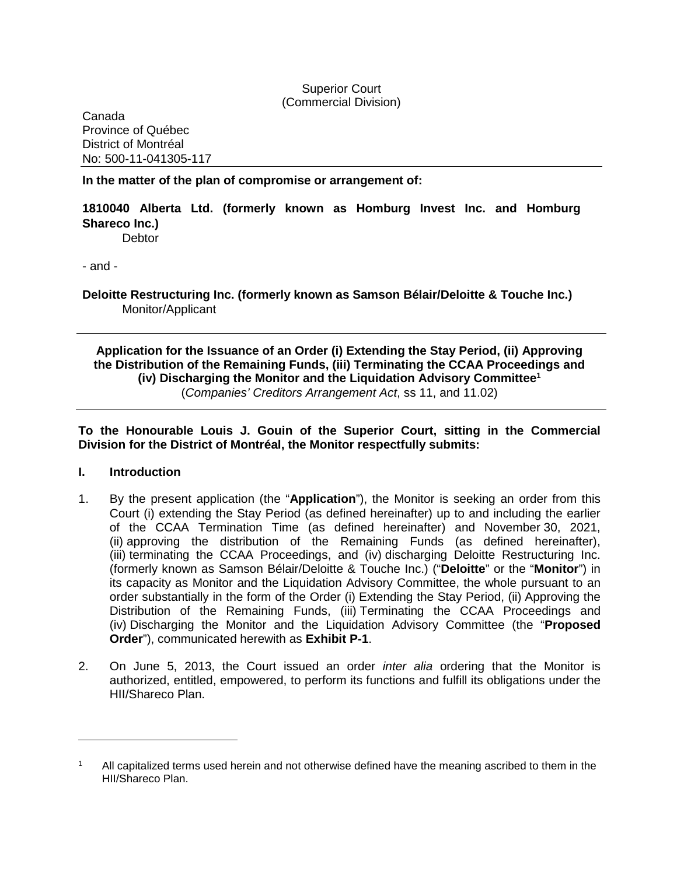## Superior Court (Commercial Division)

Canada Province of Québec District of Montréal No: 500-11-041305-117

**In the matter of the plan of compromise or arrangement of:**

## **1810040 Alberta Ltd. (formerly known as Homburg Invest Inc. and Homburg Shareco Inc.)**

**Debtor** 

- and -

**Deloitte Restructuring Inc. (formerly known as Samson Bélair/Deloitte & Touche Inc.)** Monitor/Applicant

## **Application for the Issuance of an Order (i) Extending the Stay Period, (ii) Approving the Distribution of the Remaining Funds, (iii) Terminating the CCAA Proceedings and (iv) Discharging the Monitor and the Liquidation Advisory Committee[1](#page-0-0)** (*Companies' Creditors Arrangement Act*, ss 11, and 11.02)

**To the Honourable Louis J. Gouin of the Superior Court, sitting in the Commercial Division for the District of Montréal, the Monitor respectfully submits:** 

### **I. Introduction**

- 1. By the present application (the "**Application**"), the Monitor is seeking an order from this Court (i) extending the Stay Period (as defined hereinafter) up to and including the earlier of the CCAA Termination Time (as defined hereinafter) and November 30, 2021, (ii) approving the distribution of the Remaining Funds (as defined hereinafter), (iii) terminating the CCAA Proceedings, and (iv) discharging Deloitte Restructuring Inc. (formerly known as Samson Bélair/Deloitte & Touche Inc.) ("**Deloitte**" or the "**Monitor**") in its capacity as Monitor and the Liquidation Advisory Committee, the whole pursuant to an order substantially in the form of the Order (i) Extending the Stay Period, (ii) Approving the Distribution of the Remaining Funds, (iii) Terminating the CCAA Proceedings and (iv) Discharging the Monitor and the Liquidation Advisory Committee (the "**Proposed Order**"), communicated herewith as **Exhibit P-1**.
- 2. On June 5, 2013, the Court issued an order *inter alia* ordering that the Monitor is authorized, entitled, empowered, to perform its functions and fulfill its obligations under the HII/Shareco Plan.

<span id="page-0-0"></span><sup>1</sup> All capitalized terms used herein and not otherwise defined have the meaning ascribed to them in the HII/Shareco Plan.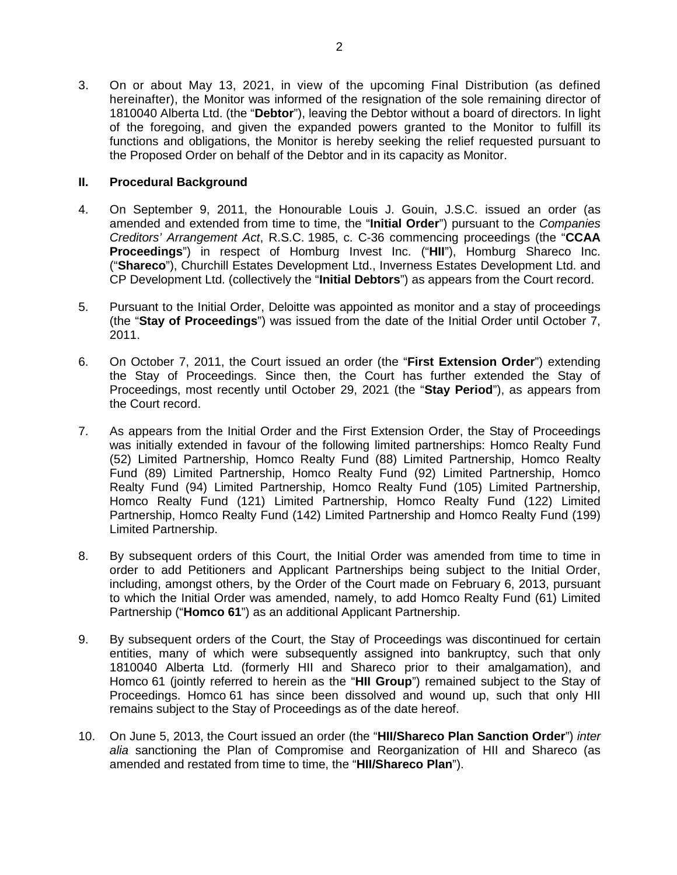3. On or about May 13, 2021, in view of the upcoming Final Distribution (as defined hereinafter), the Monitor was informed of the resignation of the sole remaining director of 1810040 Alberta Ltd. (the "**Debtor**"), leaving the Debtor without a board of directors. In light of the foregoing, and given the expanded powers granted to the Monitor to fulfill its functions and obligations, the Monitor is hereby seeking the relief requested pursuant to the Proposed Order on behalf of the Debtor and in its capacity as Monitor.

## **II. Procedural Background**

- 4. On September 9, 2011, the Honourable Louis J. Gouin, J.S.C. issued an order (as amended and extended from time to time, the "**Initial Order**") pursuant to the *Companies Creditors' Arrangement Act*, R.S.C. 1985, c. C-36 commencing proceedings (the "**CCAA Proceedings**") in respect of Homburg Invest Inc. ("**HII**"), Homburg Shareco Inc. ("**Shareco**"), Churchill Estates Development Ltd., Inverness Estates Development Ltd. and CP Development Ltd. (collectively the "**Initial Debtors**") as appears from the Court record.
- 5. Pursuant to the Initial Order, Deloitte was appointed as monitor and a stay of proceedings (the "**Stay of Proceedings**") was issued from the date of the Initial Order until October 7, 2011.
- 6. On October 7, 2011, the Court issued an order (the "**First Extension Order**") extending the Stay of Proceedings. Since then, the Court has further extended the Stay of Proceedings, most recently until October 29, 2021 (the "**Stay Period**"), as appears from the Court record.
- 7. As appears from the Initial Order and the First Extension Order, the Stay of Proceedings was initially extended in favour of the following limited partnerships: Homco Realty Fund (52) Limited Partnership, Homco Realty Fund (88) Limited Partnership, Homco Realty Fund (89) Limited Partnership, Homco Realty Fund (92) Limited Partnership, Homco Realty Fund (94) Limited Partnership, Homco Realty Fund (105) Limited Partnership, Homco Realty Fund (121) Limited Partnership, Homco Realty Fund (122) Limited Partnership, Homco Realty Fund (142) Limited Partnership and Homco Realty Fund (199) Limited Partnership.
- 8. By subsequent orders of this Court, the Initial Order was amended from time to time in order to add Petitioners and Applicant Partnerships being subject to the Initial Order, including, amongst others, by the Order of the Court made on February 6, 2013, pursuant to which the Initial Order was amended, namely, to add Homco Realty Fund (61) Limited Partnership ("**Homco 61**") as an additional Applicant Partnership.
- 9. By subsequent orders of the Court, the Stay of Proceedings was discontinued for certain entities, many of which were subsequently assigned into bankruptcy, such that only 1810040 Alberta Ltd. (formerly HII and Shareco prior to their amalgamation), and Homco 61 (jointly referred to herein as the "**HII Group**") remained subject to the Stay of Proceedings. Homco 61 has since been dissolved and wound up, such that only HII remains subject to the Stay of Proceedings as of the date hereof.
- 10. On June 5, 2013, the Court issued an order (the "**HII/Shareco Plan Sanction Order**") *inter alia* sanctioning the Plan of Compromise and Reorganization of HII and Shareco (as amended and restated from time to time, the "**HII/Shareco Plan**").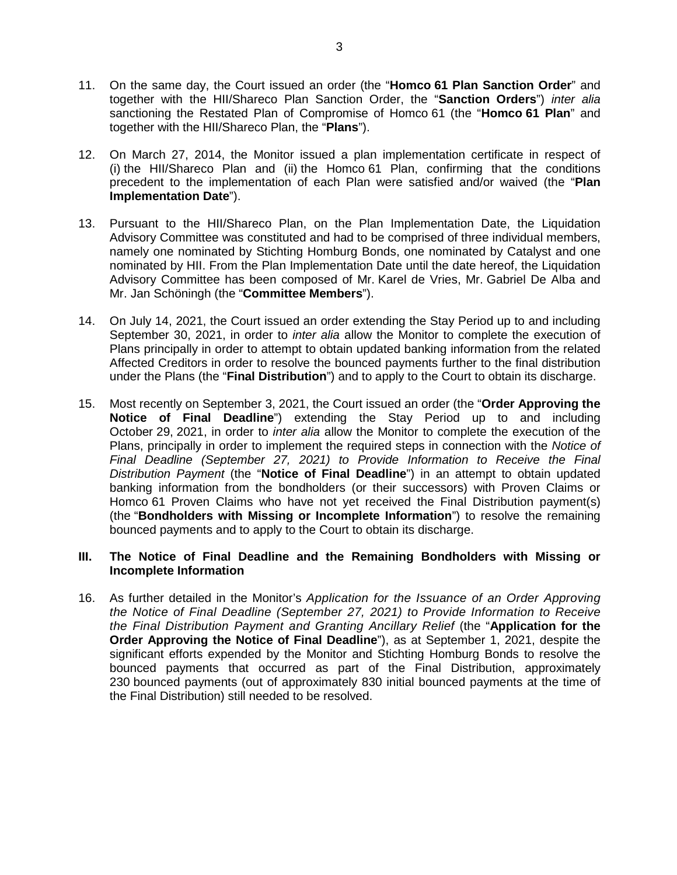- 11. On the same day, the Court issued an order (the "**Homco 61 Plan Sanction Order**" and together with the HII/Shareco Plan Sanction Order, the "**Sanction Orders**") *inter alia*  sanctioning the Restated Plan of Compromise of Homco 61 (the "**Homco 61 Plan**" and together with the HII/Shareco Plan, the "**Plans**").
- 12. On March 27, 2014, the Monitor issued a plan implementation certificate in respect of (i) the HII/Shareco Plan and (ii) the Homco 61 Plan, confirming that the conditions precedent to the implementation of each Plan were satisfied and/or waived (the "**Plan Implementation Date**").
- 13. Pursuant to the HII/Shareco Plan, on the Plan Implementation Date, the Liquidation Advisory Committee was constituted and had to be comprised of three individual members, namely one nominated by Stichting Homburg Bonds, one nominated by Catalyst and one nominated by HII. From the Plan Implementation Date until the date hereof, the Liquidation Advisory Committee has been composed of Mr. Karel de Vries, Mr. Gabriel De Alba and Mr. Jan Schöningh (the "**Committee Members**").
- 14. On July 14, 2021, the Court issued an order extending the Stay Period up to and including September 30, 2021, in order to *inter alia* allow the Monitor to complete the execution of Plans principally in order to attempt to obtain updated banking information from the related Affected Creditors in order to resolve the bounced payments further to the final distribution under the Plans (the "**Final Distribution**") and to apply to the Court to obtain its discharge.
- 15. Most recently on September 3, 2021, the Court issued an order (the "**Order Approving the Notice of Final Deadline**") extending the Stay Period up to and including October 29, 2021, in order to *inter alia* allow the Monitor to complete the execution of the Plans, principally in order to implement the required steps in connection with the *Notice of Final Deadline (September 27, 2021) to Provide Information to Receive the Final Distribution Payment* (the "**Notice of Final Deadline**") in an attempt to obtain updated banking information from the bondholders (or their successors) with Proven Claims or Homco 61 Proven Claims who have not yet received the Final Distribution payment(s) (the "**Bondholders with Missing or Incomplete Information**") to resolve the remaining bounced payments and to apply to the Court to obtain its discharge.

## **III. The Notice of Final Deadline and the Remaining Bondholders with Missing or Incomplete Information**

16. As further detailed in the Monitor's *Application for the Issuance of an Order Approving the Notice of Final Deadline (September 27, 2021) to Provide Information to Receive the Final Distribution Payment and Granting Ancillary Relief* (the "**Application for the Order Approving the Notice of Final Deadline**"), as at September 1, 2021, despite the significant efforts expended by the Monitor and Stichting Homburg Bonds to resolve the bounced payments that occurred as part of the Final Distribution, approximately 230 bounced payments (out of approximately 830 initial bounced payments at the time of the Final Distribution) still needed to be resolved.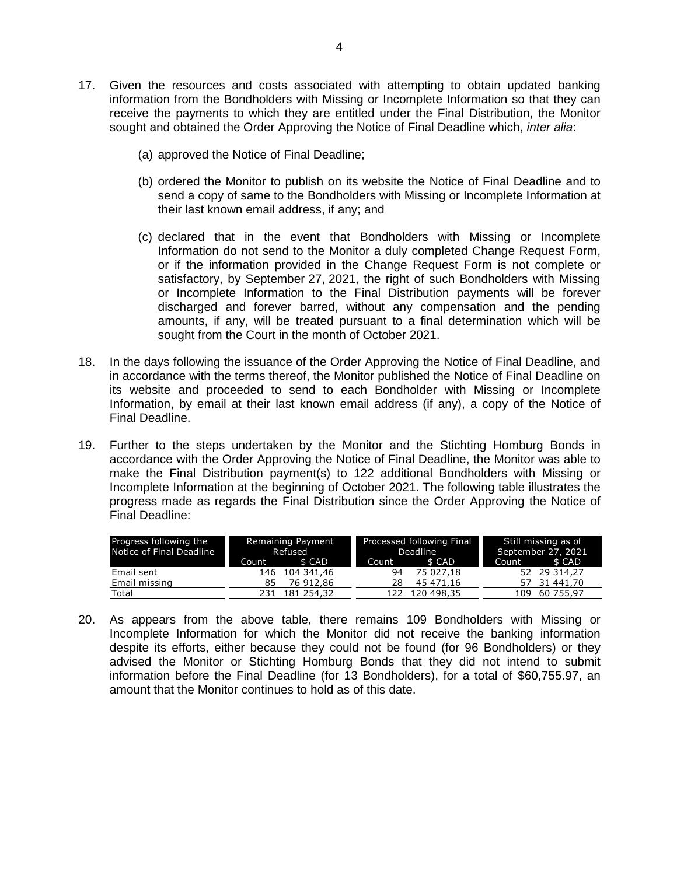- 17. Given the resources and costs associated with attempting to obtain updated banking information from the Bondholders with Missing or Incomplete Information so that they can receive the payments to which they are entitled under the Final Distribution, the Monitor sought and obtained the Order Approving the Notice of Final Deadline which, *inter alia*:
	- (a) approved the Notice of Final Deadline;
	- (b) ordered the Monitor to publish on its website the Notice of Final Deadline and to send a copy of same to the Bondholders with Missing or Incomplete Information at their last known email address, if any; and
	- (c) declared that in the event that Bondholders with Missing or Incomplete Information do not send to the Monitor a duly completed Change Request Form, or if the information provided in the Change Request Form is not complete or satisfactory, by September 27, 2021, the right of such Bondholders with Missing or Incomplete Information to the Final Distribution payments will be forever discharged and forever barred, without any compensation and the pending amounts, if any, will be treated pursuant to a final determination which will be sought from the Court in the month of October 2021.
- 18. In the days following the issuance of the Order Approving the Notice of Final Deadline, and in accordance with the terms thereof, the Monitor published the Notice of Final Deadline on its website and proceeded to send to each Bondholder with Missing or Incomplete Information, by email at their last known email address (if any), a copy of the Notice of Final Deadline.
- 19. Further to the steps undertaken by the Monitor and the Stichting Homburg Bonds in accordance with the Order Approving the Notice of Final Deadline, the Monitor was able to make the Final Distribution payment(s) to 122 additional Bondholders with Missing or Incomplete Information at the beginning of October 2021. The following table illustrates the progress made as regards the Final Distribution since the Order Approving the Notice of Final Deadline:

| Progress following the<br>Notice of Final Deadline | Remaining Payment<br>Refused |                | Processed following Final<br>Deadline |                | Still missing as of<br>September 27, 2021 |              |
|----------------------------------------------------|------------------------------|----------------|---------------------------------------|----------------|-------------------------------------------|--------------|
|                                                    | Count                        | \$ CAD         | Count T                               | \$ CAD         | Count                                     | \$ CAD       |
| Email sent                                         |                              | 146 104 341,46 | 94                                    | 75 027.18      |                                           | 52 29 314,27 |
| Email missing                                      | 85                           | 76 912.86      | 28                                    | 45 471.16      |                                           | 57 31 441,70 |
| Total                                              | 231.                         | 181 254,32     |                                       | 122 120 498.35 | 109                                       | 60 755.97    |

20. As appears from the above table, there remains 109 Bondholders with Missing or Incomplete Information for which the Monitor did not receive the banking information despite its efforts, either because they could not be found (for 96 Bondholders) or they advised the Monitor or Stichting Homburg Bonds that they did not intend to submit information before the Final Deadline (for 13 Bondholders), for a total of \$60,755.97, an amount that the Monitor continues to hold as of this date.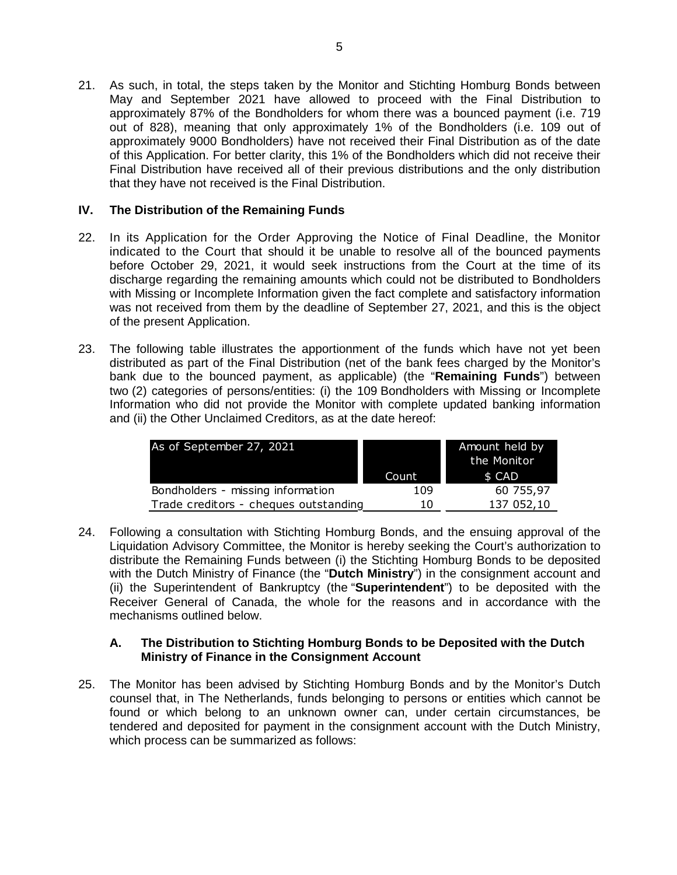21. As such, in total, the steps taken by the Monitor and Stichting Homburg Bonds between May and September 2021 have allowed to proceed with the Final Distribution to approximately 87% of the Bondholders for whom there was a bounced payment (i.e. 719 out of 828), meaning that only approximately 1% of the Bondholders (i.e. 109 out of approximately 9000 Bondholders) have not received their Final Distribution as of the date of this Application. For better clarity, this 1% of the Bondholders which did not receive their Final Distribution have received all of their previous distributions and the only distribution that they have not received is the Final Distribution.

## **IV. The Distribution of the Remaining Funds**

- 22. In its Application for the Order Approving the Notice of Final Deadline, the Monitor indicated to the Court that should it be unable to resolve all of the bounced payments before October 29, 2021, it would seek instructions from the Court at the time of its discharge regarding the remaining amounts which could not be distributed to Bondholders with Missing or Incomplete Information given the fact complete and satisfactory information was not received from them by the deadline of September 27, 2021, and this is the object of the present Application.
- 23. The following table illustrates the apportionment of the funds which have not yet been distributed as part of the Final Distribution (net of the bank fees charged by the Monitor's bank due to the bounced payment, as applicable) (the "**Remaining Funds**") between two (2) categories of persons/entities: (i) the 109 Bondholders with Missing or Incomplete Information who did not provide the Monitor with complete updated banking information and (ii) the Other Unclaimed Creditors, as at the date hereof:

| As of September 27, 2021              |       | Amount held by<br>the Monitor |  |
|---------------------------------------|-------|-------------------------------|--|
|                                       | Count | \$ CAD                        |  |
| Bondholders - missing information     | 109   | 60 755,97                     |  |
| Trade creditors - cheques outstanding | 10    | 137 052,10                    |  |

24. Following a consultation with Stichting Homburg Bonds, and the ensuing approval of the Liquidation Advisory Committee, the Monitor is hereby seeking the Court's authorization to distribute the Remaining Funds between (i) the Stichting Homburg Bonds to be deposited with the Dutch Ministry of Finance (the "**Dutch Ministry**") in the consignment account and (ii) the Superintendent of Bankruptcy (the "**Superintendent**") to be deposited with the Receiver General of Canada, the whole for the reasons and in accordance with the mechanisms outlined below.

## **A. The Distribution to Stichting Homburg Bonds to be Deposited with the Dutch Ministry of Finance in the Consignment Account**

25. The Monitor has been advised by Stichting Homburg Bonds and by the Monitor's Dutch counsel that, in The Netherlands, funds belonging to persons or entities which cannot be found or which belong to an unknown owner can, under certain circumstances, be tendered and deposited for payment in the consignment account with the Dutch Ministry, which process can be summarized as follows: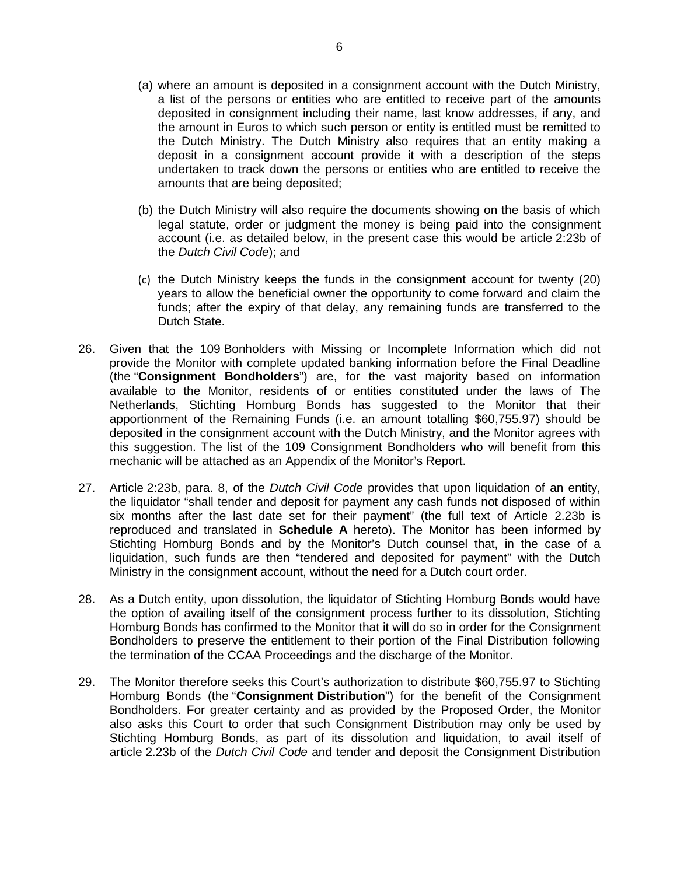- (a) where an amount is deposited in a consignment account with the Dutch Ministry, a list of the persons or entities who are entitled to receive part of the amounts deposited in consignment including their name, last know addresses, if any, and the amount in Euros to which such person or entity is entitled must be remitted to the Dutch Ministry. The Dutch Ministry also requires that an entity making a deposit in a consignment account provide it with a description of the steps undertaken to track down the persons or entities who are entitled to receive the amounts that are being deposited;
- (b) the Dutch Ministry will also require the documents showing on the basis of which legal statute, order or judgment the money is being paid into the consignment account (i.e. as detailed below, in the present case this would be article 2:23b of the *Dutch Civil Code*); and
- (c) the Dutch Ministry keeps the funds in the consignment account for twenty (20) years to allow the beneficial owner the opportunity to come forward and claim the funds; after the expiry of that delay, any remaining funds are transferred to the Dutch State.
- 26. Given that the 109 Bonholders with Missing or Incomplete Information which did not provide the Monitor with complete updated banking information before the Final Deadline (the "**Consignment Bondholders**") are, for the vast majority based on information available to the Monitor, residents of or entities constituted under the laws of The Netherlands, Stichting Homburg Bonds has suggested to the Monitor that their apportionment of the Remaining Funds (i.e. an amount totalling \$60,755.97) should be deposited in the consignment account with the Dutch Ministry, and the Monitor agrees with this suggestion. The list of the 109 Consignment Bondholders who will benefit from this mechanic will be attached as an Appendix of the Monitor's Report.
- 27. Article 2:23b, para. 8, of the *Dutch Civil Code* provides that upon liquidation of an entity, the liquidator "shall tender and deposit for payment any cash funds not disposed of within six months after the last date set for their payment" (the full text of Article 2.23b is reproduced and translated in **Schedule A** hereto). The Monitor has been informed by Stichting Homburg Bonds and by the Monitor's Dutch counsel that, in the case of a liquidation, such funds are then "tendered and deposited for payment" with the Dutch Ministry in the consignment account, without the need for a Dutch court order.
- 28. As a Dutch entity, upon dissolution, the liquidator of Stichting Homburg Bonds would have the option of availing itself of the consignment process further to its dissolution, Stichting Homburg Bonds has confirmed to the Monitor that it will do so in order for the Consignment Bondholders to preserve the entitlement to their portion of the Final Distribution following the termination of the CCAA Proceedings and the discharge of the Monitor.
- 29. The Monitor therefore seeks this Court's authorization to distribute \$60,755.97 to Stichting Homburg Bonds (the "**Consignment Distribution**") for the benefit of the Consignment Bondholders. For greater certainty and as provided by the Proposed Order, the Monitor also asks this Court to order that such Consignment Distribution may only be used by Stichting Homburg Bonds, as part of its dissolution and liquidation, to avail itself of article 2.23b of the *Dutch Civil Code* and tender and deposit the Consignment Distribution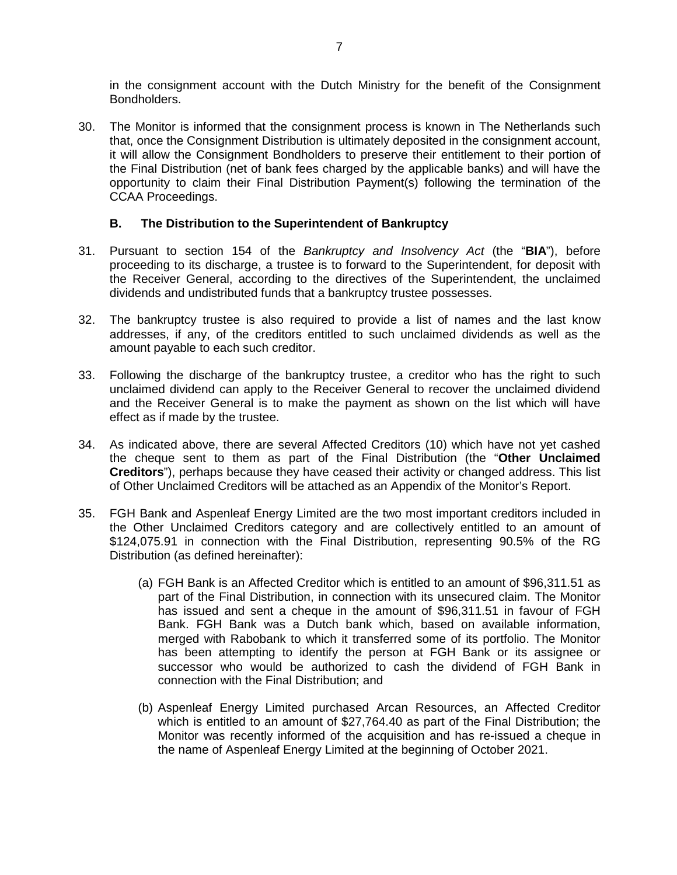in the consignment account with the Dutch Ministry for the benefit of the Consignment Bondholders.

30. The Monitor is informed that the consignment process is known in The Netherlands such that, once the Consignment Distribution is ultimately deposited in the consignment account, it will allow the Consignment Bondholders to preserve their entitlement to their portion of the Final Distribution (net of bank fees charged by the applicable banks) and will have the opportunity to claim their Final Distribution Payment(s) following the termination of the CCAA Proceedings.

## **B. The Distribution to the Superintendent of Bankruptcy**

- 31. Pursuant to section 154 of the *Bankruptcy and Insolvency Act* (the "**BIA**"), before proceeding to its discharge, a trustee is to forward to the Superintendent, for deposit with the Receiver General, according to the directives of the Superintendent, the unclaimed dividends and undistributed funds that a bankruptcy trustee possesses.
- 32. The bankruptcy trustee is also required to provide a list of names and the last know addresses, if any, of the creditors entitled to such unclaimed dividends as well as the amount payable to each such creditor.
- 33. Following the discharge of the bankruptcy trustee, a creditor who has the right to such unclaimed dividend can apply to the Receiver General to recover the unclaimed dividend and the Receiver General is to make the payment as shown on the list which will have effect as if made by the trustee.
- 34. As indicated above, there are several Affected Creditors (10) which have not yet cashed the cheque sent to them as part of the Final Distribution (the "**Other Unclaimed Creditors**"), perhaps because they have ceased their activity or changed address. This list of Other Unclaimed Creditors will be attached as an Appendix of the Monitor's Report.
- 35. FGH Bank and Aspenleaf Energy Limited are the two most important creditors included in the Other Unclaimed Creditors category and are collectively entitled to an amount of \$124,075.91 in connection with the Final Distribution, representing 90.5% of the RG Distribution (as defined hereinafter):
	- (a) FGH Bank is an Affected Creditor which is entitled to an amount of \$96,311.51 as part of the Final Distribution, in connection with its unsecured claim. The Monitor has issued and sent a cheque in the amount of \$96,311.51 in favour of FGH Bank. FGH Bank was a Dutch bank which, based on available information, merged with Rabobank to which it transferred some of its portfolio. The Monitor has been attempting to identify the person at FGH Bank or its assignee or successor who would be authorized to cash the dividend of FGH Bank in connection with the Final Distribution; and
	- (b) Aspenleaf Energy Limited purchased Arcan Resources, an Affected Creditor which is entitled to an amount of \$27,764.40 as part of the Final Distribution; the Monitor was recently informed of the acquisition and has re-issued a cheque in the name of Aspenleaf Energy Limited at the beginning of October 2021.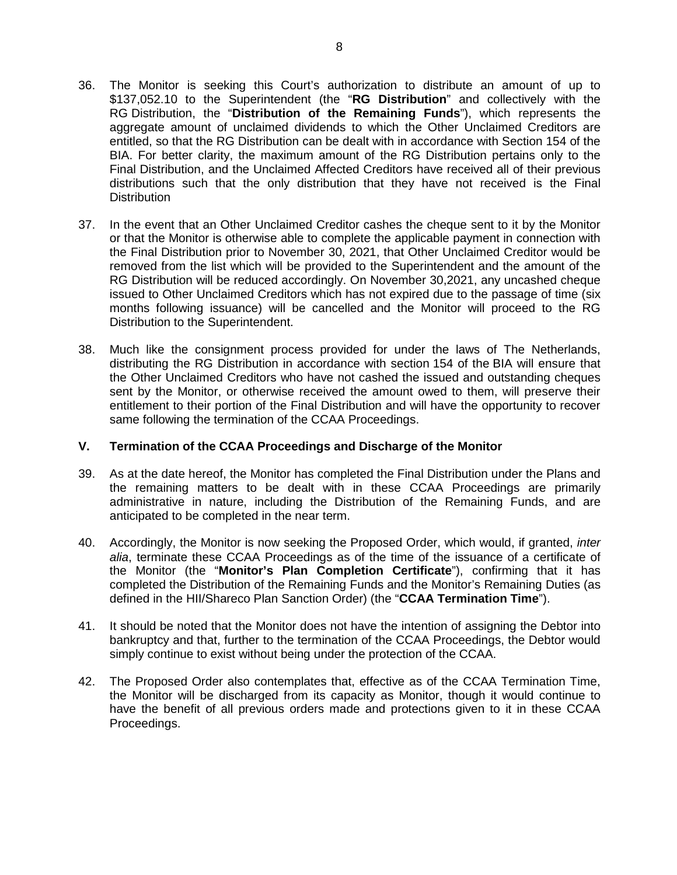- 36. The Monitor is seeking this Court's authorization to distribute an amount of up to \$137,052.10 to the Superintendent (the "**RG Distribution**" and collectively with the RG Distribution, the "**Distribution of the Remaining Funds**"), which represents the aggregate amount of unclaimed dividends to which the Other Unclaimed Creditors are entitled, so that the RG Distribution can be dealt with in accordance with Section 154 of the BIA. For better clarity, the maximum amount of the RG Distribution pertains only to the Final Distribution, and the Unclaimed Affected Creditors have received all of their previous distributions such that the only distribution that they have not received is the Final **Distribution**
- 37. In the event that an Other Unclaimed Creditor cashes the cheque sent to it by the Monitor or that the Monitor is otherwise able to complete the applicable payment in connection with the Final Distribution prior to November 30, 2021, that Other Unclaimed Creditor would be removed from the list which will be provided to the Superintendent and the amount of the RG Distribution will be reduced accordingly. On November 30,2021, any uncashed cheque issued to Other Unclaimed Creditors which has not expired due to the passage of time (six months following issuance) will be cancelled and the Monitor will proceed to the RG Distribution to the Superintendent.
- 38. Much like the consignment process provided for under the laws of The Netherlands, distributing the RG Distribution in accordance with section 154 of the BIA will ensure that the Other Unclaimed Creditors who have not cashed the issued and outstanding cheques sent by the Monitor, or otherwise received the amount owed to them, will preserve their entitlement to their portion of the Final Distribution and will have the opportunity to recover same following the termination of the CCAA Proceedings.

## **V. Termination of the CCAA Proceedings and Discharge of the Monitor**

- 39. As at the date hereof, the Monitor has completed the Final Distribution under the Plans and the remaining matters to be dealt with in these CCAA Proceedings are primarily administrative in nature, including the Distribution of the Remaining Funds, and are anticipated to be completed in the near term.
- 40. Accordingly, the Monitor is now seeking the Proposed Order, which would, if granted, *inter alia*, terminate these CCAA Proceedings as of the time of the issuance of a certificate of the Monitor (the "**Monitor's Plan Completion Certificate**"), confirming that it has completed the Distribution of the Remaining Funds and the Monitor's Remaining Duties (as defined in the HII/Shareco Plan Sanction Order) (the "**CCAA Termination Time**").
- 41. It should be noted that the Monitor does not have the intention of assigning the Debtor into bankruptcy and that, further to the termination of the CCAA Proceedings, the Debtor would simply continue to exist without being under the protection of the CCAA.
- 42. The Proposed Order also contemplates that, effective as of the CCAA Termination Time, the Monitor will be discharged from its capacity as Monitor, though it would continue to have the benefit of all previous orders made and protections given to it in these CCAA Proceedings.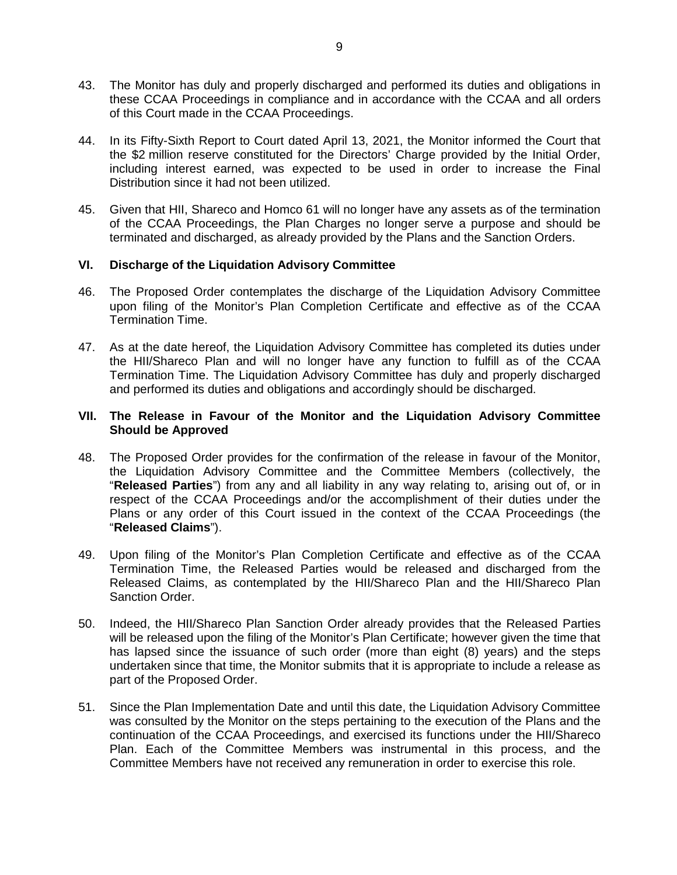- 43. The Monitor has duly and properly discharged and performed its duties and obligations in these CCAA Proceedings in compliance and in accordance with the CCAA and all orders of this Court made in the CCAA Proceedings.
- 44. In its Fifty-Sixth Report to Court dated April 13, 2021, the Monitor informed the Court that the \$2 million reserve constituted for the Directors' Charge provided by the Initial Order, including interest earned, was expected to be used in order to increase the Final Distribution since it had not been utilized.
- 45. Given that HII, Shareco and Homco 61 will no longer have any assets as of the termination of the CCAA Proceedings, the Plan Charges no longer serve a purpose and should be terminated and discharged, as already provided by the Plans and the Sanction Orders.

## **VI. Discharge of the Liquidation Advisory Committee**

- 46. The Proposed Order contemplates the discharge of the Liquidation Advisory Committee upon filing of the Monitor's Plan Completion Certificate and effective as of the CCAA Termination Time.
- 47. As at the date hereof, the Liquidation Advisory Committee has completed its duties under the HII/Shareco Plan and will no longer have any function to fulfill as of the CCAA Termination Time. The Liquidation Advisory Committee has duly and properly discharged and performed its duties and obligations and accordingly should be discharged.

### **VII. The Release in Favour of the Monitor and the Liquidation Advisory Committee Should be Approved**

- 48. The Proposed Order provides for the confirmation of the release in favour of the Monitor, the Liquidation Advisory Committee and the Committee Members (collectively, the "**Released Parties**") from any and all liability in any way relating to, arising out of, or in respect of the CCAA Proceedings and/or the accomplishment of their duties under the Plans or any order of this Court issued in the context of the CCAA Proceedings (the "**Released Claims**").
- 49. Upon filing of the Monitor's Plan Completion Certificate and effective as of the CCAA Termination Time, the Released Parties would be released and discharged from the Released Claims, as contemplated by the HII/Shareco Plan and the HII/Shareco Plan Sanction Order.
- 50. Indeed, the HII/Shareco Plan Sanction Order already provides that the Released Parties will be released upon the filing of the Monitor's Plan Certificate; however given the time that has lapsed since the issuance of such order (more than eight (8) years) and the steps undertaken since that time, the Monitor submits that it is appropriate to include a release as part of the Proposed Order.
- 51. Since the Plan Implementation Date and until this date, the Liquidation Advisory Committee was consulted by the Monitor on the steps pertaining to the execution of the Plans and the continuation of the CCAA Proceedings, and exercised its functions under the HII/Shareco Plan. Each of the Committee Members was instrumental in this process, and the Committee Members have not received any remuneration in order to exercise this role.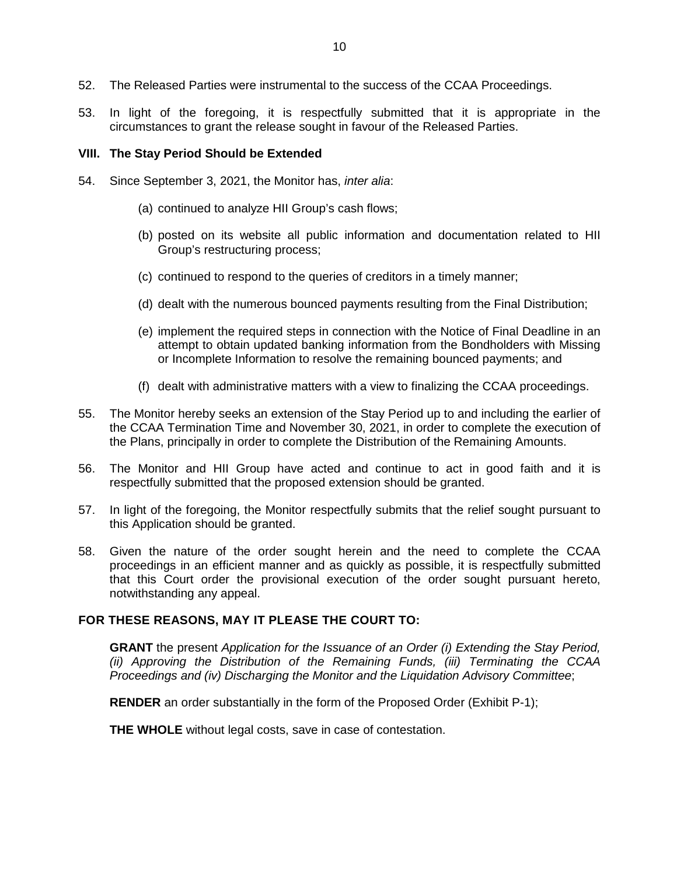- 52. The Released Parties were instrumental to the success of the CCAA Proceedings.
- 53. In light of the foregoing, it is respectfully submitted that it is appropriate in the circumstances to grant the release sought in favour of the Released Parties.

### **VIII. The Stay Period Should be Extended**

- 54. Since September 3, 2021, the Monitor has, *inter alia*:
	- (a) continued to analyze HII Group's cash flows;
	- (b) posted on its website all public information and documentation related to HII Group's restructuring process;
	- (c) continued to respond to the queries of creditors in a timely manner;
	- (d) dealt with the numerous bounced payments resulting from the Final Distribution;
	- (e) implement the required steps in connection with the Notice of Final Deadline in an attempt to obtain updated banking information from the Bondholders with Missing or Incomplete Information to resolve the remaining bounced payments; and
	- (f) dealt with administrative matters with a view to finalizing the CCAA proceedings.
- 55. The Monitor hereby seeks an extension of the Stay Period up to and including the earlier of the CCAA Termination Time and November 30, 2021, in order to complete the execution of the Plans, principally in order to complete the Distribution of the Remaining Amounts.
- 56. The Monitor and HII Group have acted and continue to act in good faith and it is respectfully submitted that the proposed extension should be granted.
- 57. In light of the foregoing, the Monitor respectfully submits that the relief sought pursuant to this Application should be granted.
- 58. Given the nature of the order sought herein and the need to complete the CCAA proceedings in an efficient manner and as quickly as possible, it is respectfully submitted that this Court order the provisional execution of the order sought pursuant hereto, notwithstanding any appeal.

## **FOR THESE REASONS, MAY IT PLEASE THE COURT TO:**

**GRANT** the present *Application for the Issuance of an Order (i) Extending the Stay Period, (ii) Approving the Distribution of the Remaining Funds, (iii) Terminating the CCAA Proceedings and (iv) Discharging the Monitor and the Liquidation Advisory Committee*;

**RENDER** an order substantially in the form of the Proposed Order (Exhibit P-1);

**THE WHOLE** without legal costs, save in case of contestation.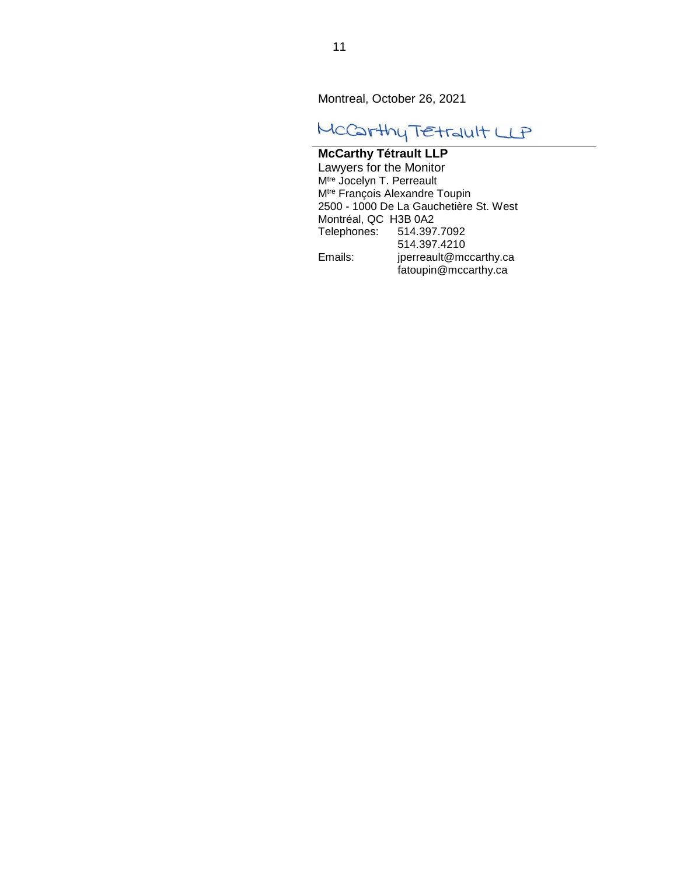Montreal, October 26, 2021

# MCCarthy TEtrault LLP

## **McCarthy Tétrault LLP**

Lawyers for the Monitor M<sup>tre</sup> Jocelyn T. Perreault M<sup>tre</sup> François Alexandre Toupin 2500 - 1000 De La Gauchetière St. West Montréal, QC H3B 0A2<br>Telephones: 514.397 Telephones: 514.397.7092 514.397.4210 Emails: jperreault@mccarthy.ca fatoupin@mccarthy.ca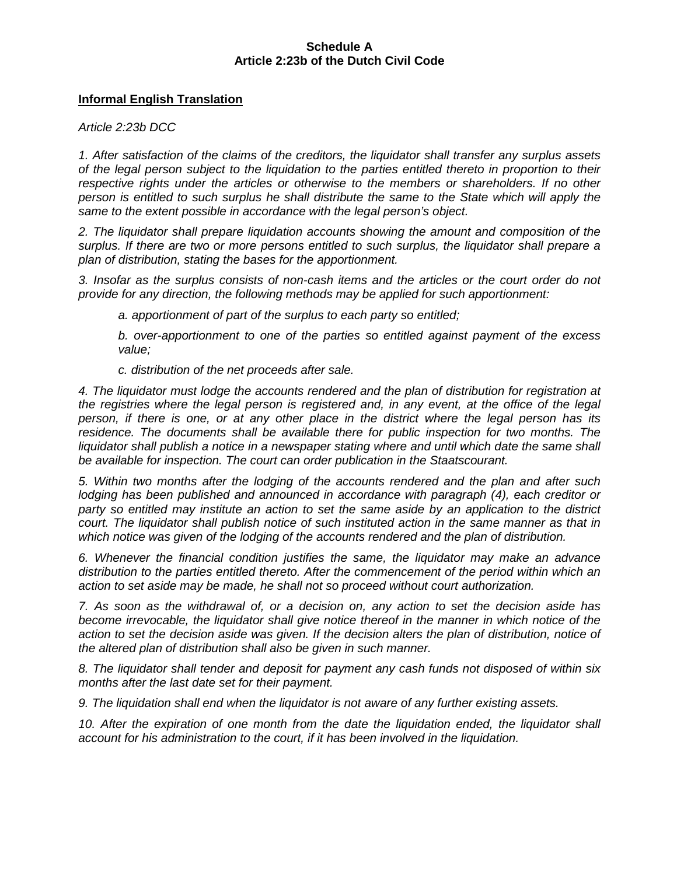## **Schedule A Article 2:23b of the Dutch Civil Code**

## **Informal English Translation**

*Article 2:23b DCC* 

*1. After satisfaction of the claims of the creditors, the liquidator shall transfer any surplus assets of the legal person subject to the liquidation to the parties entitled thereto in proportion to their respective rights under the articles or otherwise to the members or shareholders. If no other person is entitled to such surplus he shall distribute the same to the State which will apply the same to the extent possible in accordance with the legal person's object.* 

*2. The liquidator shall prepare liquidation accounts showing the amount and composition of the surplus. If there are two or more persons entitled to such surplus, the liquidator shall prepare a plan of distribution, stating the bases for the apportionment.* 

*3. Insofar as the surplus consists of non-cash items and the articles or the court order do not provide for any direction, the following methods may be applied for such apportionment:* 

*a. apportionment of part of the surplus to each party so entitled;* 

*b. over-apportionment to one of the parties so entitled against payment of the excess value;* 

*c. distribution of the net proceeds after sale.* 

*4. The liquidator must lodge the accounts rendered and the plan of distribution for registration at the registries where the legal person is registered and, in any event, at the office of the legal person, if there is one, or at any other place in the district where the legal person has its*  residence. The documents shall be available there for public inspection for two months. The *liquidator shall publish a notice in a newspaper stating where and until which date the same shall be available for inspection. The court can order publication in the Staatscourant.* 

*5. Within two months after the lodging of the accounts rendered and the plan and after such*  lodging has been published and announced in accordance with paragraph (4), each creditor or *party so entitled may institute an action to set the same aside by an application to the district court. The liquidator shall publish notice of such instituted action in the same manner as that in which notice was given of the lodging of the accounts rendered and the plan of distribution.* 

*6. Whenever the financial condition justifies the same, the liquidator may make an advance distribution to the parties entitled thereto. After the commencement of the period within which an action to set aside may be made, he shall not so proceed without court authorization.* 

*7. As soon as the withdrawal of, or a decision on, any action to set the decision aside has*  become irrevocable, the liquidator shall give notice thereof in the manner in which notice of the action to set the decision aside was given. If the decision alters the plan of distribution, notice of *the altered plan of distribution shall also be given in such manner.* 

*8. The liquidator shall tender and deposit for payment any cash funds not disposed of within six months after the last date set for their payment.* 

*9. The liquidation shall end when the liquidator is not aware of any further existing assets.* 

10. After the expiration of one month from the date the liquidation ended, the liquidator shall *account for his administration to the court, if it has been involved in the liquidation.*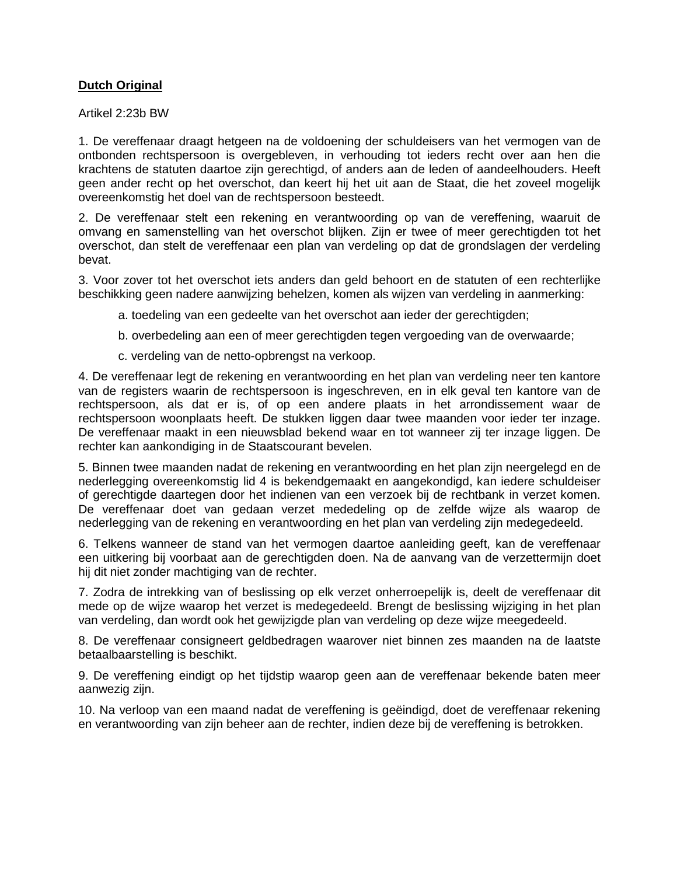## **Dutch Original**

Artikel 2:23b BW

1. De vereffenaar draagt hetgeen na de voldoening der schuldeisers van het vermogen van de ontbonden rechtspersoon is overgebleven, in verhouding tot ieders recht over aan hen die krachtens de statuten daartoe zijn gerechtigd, of anders aan de leden of aandeelhouders. Heeft geen ander recht op het overschot, dan keert hij het uit aan de Staat, die het zoveel mogelijk overeenkomstig het doel van de rechtspersoon besteedt.

2. De vereffenaar stelt een rekening en verantwoording op van de vereffening, waaruit de omvang en samenstelling van het overschot blijken. Zijn er twee of meer gerechtigden tot het overschot, dan stelt de vereffenaar een plan van verdeling op dat de grondslagen der verdeling bevat.

3. Voor zover tot het overschot iets anders dan geld behoort en de statuten of een rechterlijke beschikking geen nadere aanwijzing behelzen, komen als wijzen van verdeling in aanmerking:

- a. toedeling van een gedeelte van het overschot aan ieder der gerechtigden;
- b. overbedeling aan een of meer gerechtigden tegen vergoeding van de overwaarde;
- c. verdeling van de netto-opbrengst na verkoop.

4. De vereffenaar legt de rekening en verantwoording en het plan van verdeling neer ten kantore van de registers waarin de rechtspersoon is ingeschreven, en in elk geval ten kantore van de rechtspersoon, als dat er is, of op een andere plaats in het arrondissement waar de rechtspersoon woonplaats heeft. De stukken liggen daar twee maanden voor ieder ter inzage. De vereffenaar maakt in een nieuwsblad bekend waar en tot wanneer zij ter inzage liggen. De rechter kan aankondiging in de Staatscourant bevelen.

5. Binnen twee maanden nadat de rekening en verantwoording en het plan zijn neergelegd en de nederlegging overeenkomstig lid 4 is bekendgemaakt en aangekondigd, kan iedere schuldeiser of gerechtigde daartegen door het indienen van een verzoek bij de rechtbank in verzet komen. De vereffenaar doet van gedaan verzet mededeling op de zelfde wijze als waarop de nederlegging van de rekening en verantwoording en het plan van verdeling zijn medegedeeld.

6. Telkens wanneer de stand van het vermogen daartoe aanleiding geeft, kan de vereffenaar een uitkering bij voorbaat aan de gerechtigden doen. Na de aanvang van de verzettermijn doet hij dit niet zonder machtiging van de rechter.

7. Zodra de intrekking van of beslissing op elk verzet onherroepelijk is, deelt de vereffenaar dit mede op de wijze waarop het verzet is medegedeeld. Brengt de beslissing wijziging in het plan van verdeling, dan wordt ook het gewijzigde plan van verdeling op deze wijze meegedeeld.

8. De vereffenaar consigneert geldbedragen waarover niet binnen zes maanden na de laatste betaalbaarstelling is beschikt.

9. De vereffening eindigt op het tijdstip waarop geen aan de vereffenaar bekende baten meer aanwezig zijn.

10. Na verloop van een maand nadat de vereffening is geëindigd, doet de vereffenaar rekening en verantwoording van zijn beheer aan de rechter, indien deze bij de vereffening is betrokken.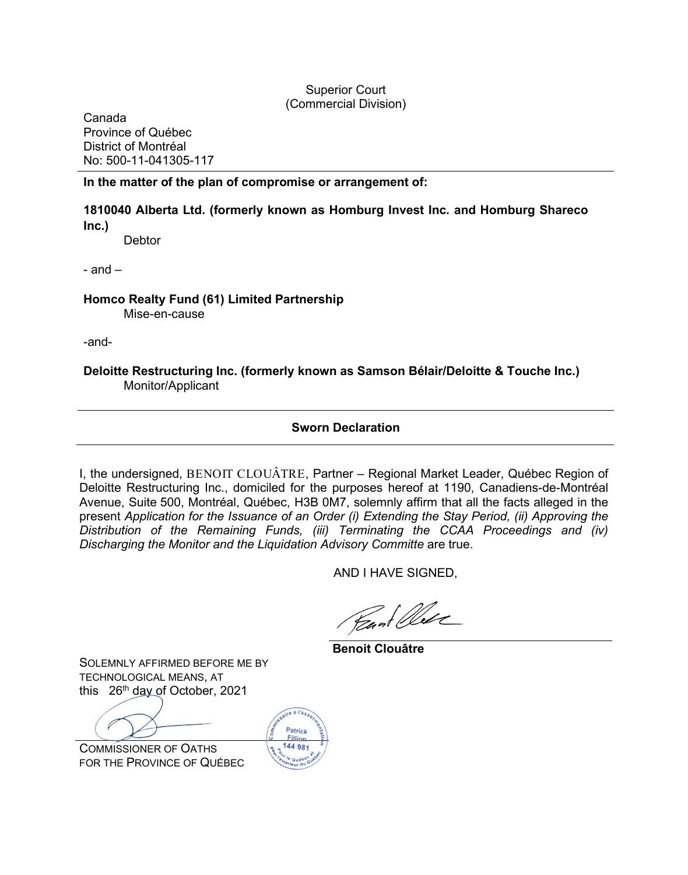## Superior Court (Commercial Division)

Canada Province of Québec District of Montréal No: 500-11-041305-117

## **In the matter of the plan of compromise or arrangement of:**

## **1810040 Alberta Ltd. (formerly known as Homburg Invest Inc. and Homburg Shareco Inc.)**

**Debtor** 

 $-$  and  $-$ 

**Homco Realty Fund (61) Limited Partnership** Mise-en-cause

-and-

**Deloitte Restructuring Inc. (formerly known as Samson Bélair/Deloitte & Touche Inc.)** Monitor/Applicant

## **Sworn Declaration**

I, the undersigned, BENOIT CLOUÂTRE, Partner – Regional Market Leader, Québec Region of Deloitte Restructuring Inc., domiciled for the purposes hereof at 1190, Canadiens-de-Montréal Avenue, Suite 500, Montréal, Québec, H3B 0M7, solemnly affirm that all the facts alleged in the present *Application for the Issuance of an Order (i) Extending the Stay Period, (ii) Approving the Distribution of the Remaining Funds, (iii) Terminating the CCAA Proceedings and (iv) Discharging the Monitor and the Liquidation Advisory Committe* are true.

AND I HAVE SIGNED,

Read Olde

**Benoit Clouâtre**

SOLEMNLY AFFIRMED BEFORE ME BY TECHNOLOGICAL MEANS, AT this  $26<sup>th</sup>$  day of October, 2021

COMMISSIONER OF OATHS FOR THE PROVINCE OF QUÉBEC

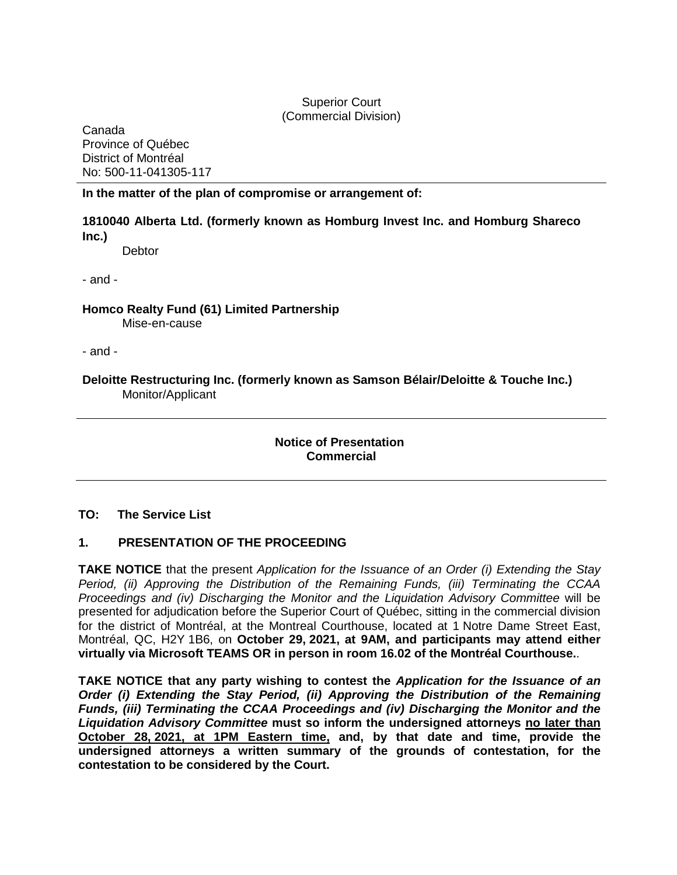## Superior Court (Commercial Division)

Canada Province of Québec District of Montréal No: 500-11-041305-117

## **In the matter of the plan of compromise or arrangement of:**

## **1810040 Alberta Ltd. (formerly known as Homburg Invest Inc. and Homburg Shareco Inc.)**

**Debtor** 

- and -

**Homco Realty Fund (61) Limited Partnership**  Mise-en-cause

- and -

**Deloitte Restructuring Inc. (formerly known as Samson Bélair/Deloitte & Touche Inc.)** Monitor/Applicant

> **Notice of Presentation Commercial**

## **TO: The Service List**

## **1. PRESENTATION OF THE PROCEEDING**

**TAKE NOTICE** that the present *Application for the Issuance of an Order (i) Extending the Stay Period, (ii) Approving the Distribution of the Remaining Funds, (iii) Terminating the CCAA Proceedings and (iv) Discharging the Monitor and the Liquidation Advisory Committee* will be presented for adjudication before the Superior Court of Québec, sitting in the commercial division for the district of Montréal, at the Montreal Courthouse, located at 1 Notre Dame Street East, Montréal, QC, H2Y 1B6, on **October 29, 2021, at 9AM, and participants may attend either virtually via Microsoft TEAMS OR in person in room 16.02 of the Montréal Courthouse.**.

**TAKE NOTICE that any party wishing to contest the** *Application for the Issuance of an Order (i) Extending the Stay Period, (ii) Approving the Distribution of the Remaining Funds, (iii) Terminating the CCAA Proceedings and (iv) Discharging the Monitor and the Liquidation Advisory Committee* **must so inform the undersigned attorneys no later than October 28, 2021, at 1PM Eastern time, and, by that date and time, provide the undersigned attorneys a written summary of the grounds of contestation, for the contestation to be considered by the Court.**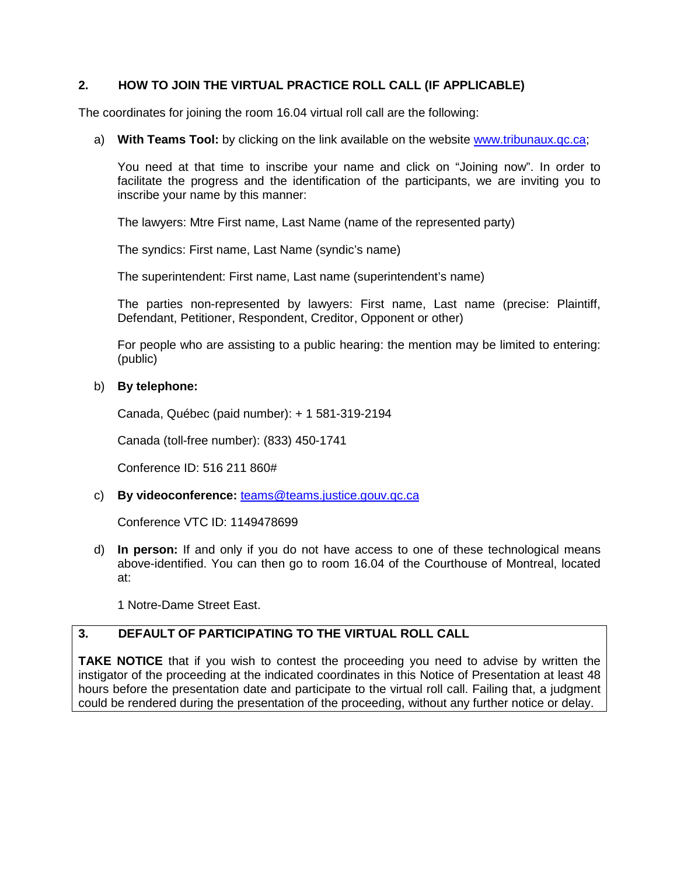## **2. HOW TO JOIN THE VIRTUAL PRACTICE ROLL CALL (IF APPLICABLE)**

The coordinates for joining the room 16.04 virtual roll call are the following:

a) With Teams Tool: by clicking on the link available on the website www.tribunaux.qc.ca;

You need at that time to inscribe your name and click on "Jo[ining now". In order](http://www.tribunaux.qc.ca/) to facilitate the progress and the identification of the participants, we are inviting you to inscribe your name by this manner:

The lawyers: Mtre First name, Last Name (name of the represented party)

The syndics: First name, Last Name (syndic's name)

The superintendent: First name, Last name (superintendent's name)

The parties non-represented by lawyers: First name, Last name (precise: Plaintiff, Defendant, Petitioner, Respondent, Creditor, Opponent or other)

For people who are assisting to a public hearing: the mention may be limited to entering: (public)

### b) **By telephone:**

Canada, Québec (paid number): + 1 581-319-2194

Canada (toll-free number): (833) 450-1741

Conference ID: 516 211 860#

c) **By videoconference:** teams@teams.justice.gouv.qc.ca

Conference VTC ID: 1[149478699](mailto:teams@teams.justice.gouv.qc.ca) 

d) **In person:** If and only if you do not have access to one of these technological means above-identified. You can then go to room 16.04 of the Courthouse of Montreal, located at:

1 Notre-Dame Street East.

## **3. DEFAULT OF PARTICIPATING TO THE VIRTUAL ROLL CALL**

**TAKE NOTICE** that if you wish to contest the proceeding you need to advise by written the instigator of the proceeding at the indicated coordinates in this Notice of Presentation at least 48 hours before the presentation date and participate to the virtual roll call. Failing that, a judgment could be rendered during the presentation of the proceeding, without any further notice or delay.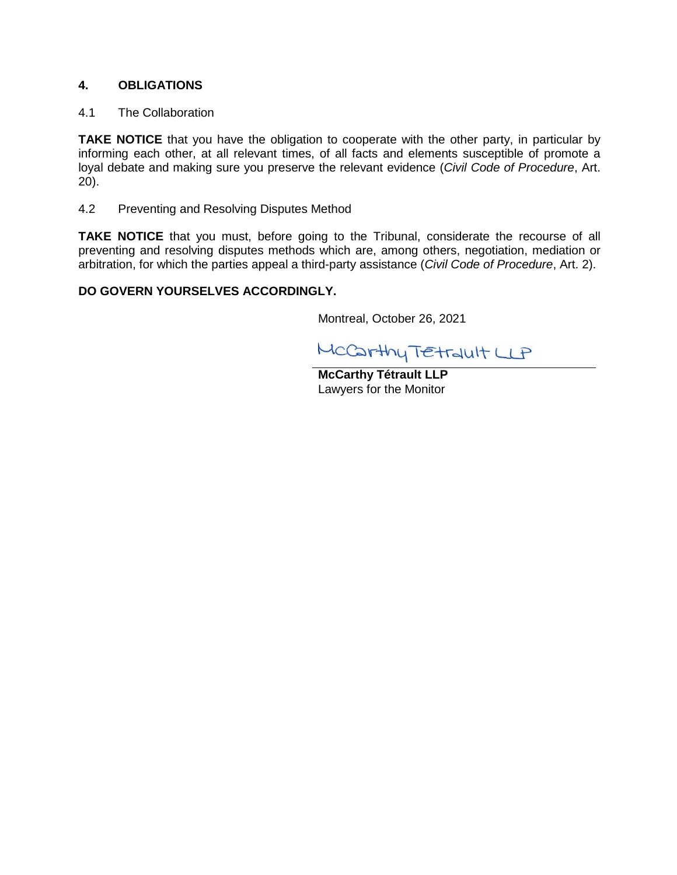## **4. OBLIGATIONS**

## 4.1 The Collaboration

**TAKE NOTICE** that you have the obligation to cooperate with the other party, in particular by informing each other, at all relevant times, of all facts and elements susceptible of promote a loyal debate and making sure you preserve the relevant evidence (*Civil Code of Procedure*, Art. 20).

4.2 Preventing and Resolving Disputes Method

**TAKE NOTICE** that you must, before going to the Tribunal, considerate the recourse of all preventing and resolving disputes methods which are, among others, negotiation, mediation or arbitration, for which the parties appeal a third-party assistance (*Civil Code of Procedure*, Art. 2).

## **DO GOVERN YOURSELVES ACCORDINGLY.**

Montreal, October 26, 2021

MCCarthy TEtrault LP

**McCarthy Tétrault LLP** Lawyers for the Monitor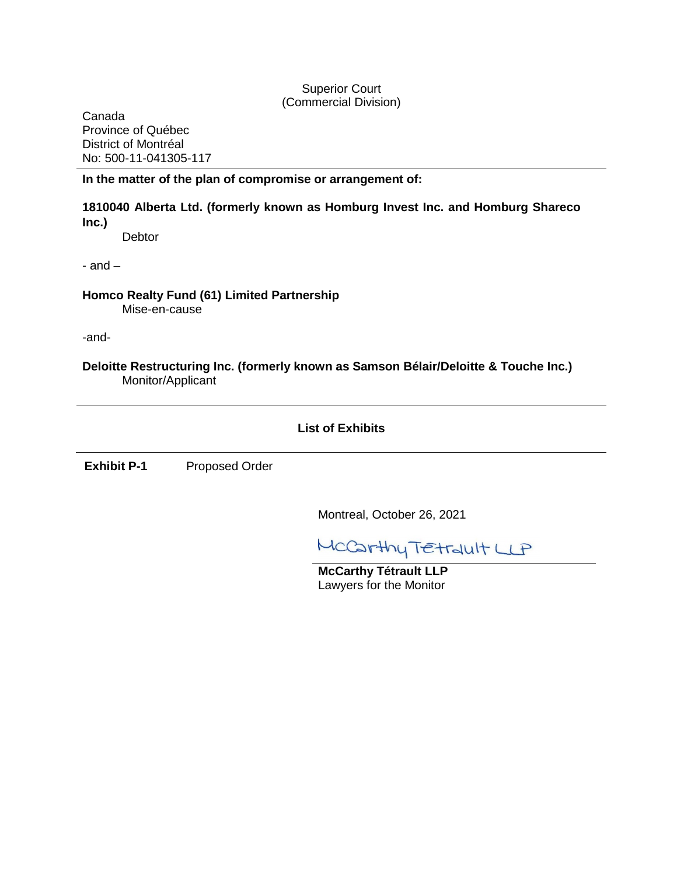## Superior Court (Commercial Division)

Canada Province of Québec District of Montréal No: 500-11-041305-117

## **In the matter of the plan of compromise or arrangement of:**

## **1810040 Alberta Ltd. (formerly known as Homburg Invest Inc. and Homburg Shareco Inc.)**

**Debtor** 

 $-$  and  $-$ 

**Homco Realty Fund (61) Limited Partnership**  Mise-en-cause

-and-

**Deloitte Restructuring Inc. (formerly known as Samson Bélair/Deloitte & Touche Inc.)** Monitor/Applicant

## **List of Exhibits**

**Exhibit P-1** Proposed Order

Montreal, October 26, 2021

MCCarthy TEtrault LP

**McCarthy Tétrault LLP** Lawyers for the Monitor